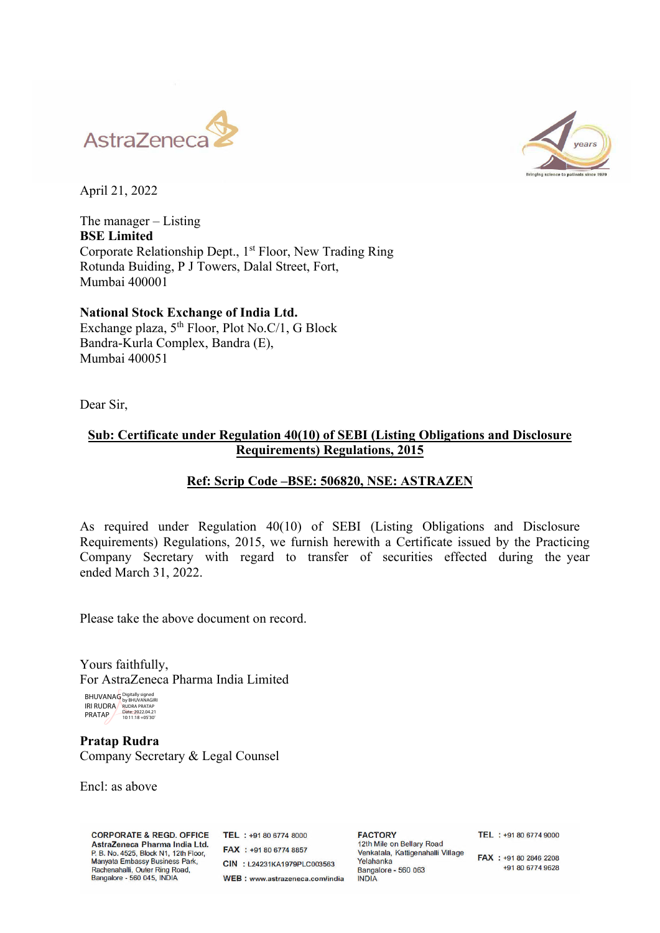



April 21, 2022

The manager – Listing **BSE Limited**  Corporate Relationship Dept., 1<sup>st</sup> Floor, New Trading Ring Rotunda Buiding, P J Towers, Dalal Street, Fort, Mumbai 400001

**National Stock Exchange of India Ltd.**  Exchange plaza,  $5<sup>th</sup>$  Floor, Plot No.C/1, G Block Bandra-Kurla Complex, Bandra (E), Mumbai 400051

Dear Sir,

## **Sub: Certificate under Regulation 40(10) of SEBI (Listing Obligations and Disclosure Requirements) Regulations, 2015**

## **Ref: Scrip Code –BSE: 506820, NSE: ASTRAZEN**

As required under Regulation 40(10) of SEBI (Listing Obligations and Disclosure Requirements) Regulations, 2015, we furnish herewith a Certificate issued by the Practicing Company Secretary with regard to transfer of securities effected during the year ended March 31, 2022.

Please take the above document on record.

Yours faithfully, For AstraZeneca Pharma India Limited

BHUVANAG IRI RUDRA PRATAP Digitally signed by BHUVANAGIRI RUDRA PRATAP Date: 2022.04.21 10:11:18 +05'30'

**Pratap Rudra**  Company Secretary & Legal Counsel

Encl: as above

**CORPORATE & REGD. OFFICE** AstraZeneca Pharma India Ltd. P. B. No. 4525, Block N1, 12th Floor, Manyata Embassy Business Park, Rachenahalli, Outer Ring Road,<br>Bangalore - 560 045, INDIA

 $TEI + 491.80.6774.8000$ FAX : +91 80 6774 8857 CIN : L24231KA1979PLC003563 WEB: www.astrazeneca.com/india

**FACTORY** 12th Mile on Bellary Road Venkatala, Kattigenahalli Village Yelahanka Bangalore - 560 063 **INDIA** 

TEL: +91 80 6774 9000

FAX : +91 80 2846 2208 +91 80 6774 9628